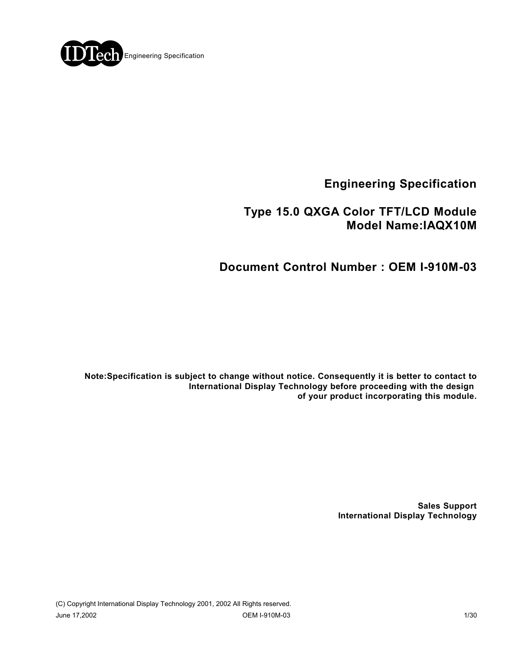

**Engineering Specification**

## **Type 15.0 QXGA Color TFT/LCD Module Model Name:IAQX10M**

## **Document Control Number : OEM I-910M-03**

**Note:Specification is subject to change without notice. Consequently it is better to contact to International Display Technology before proceeding with the design of your product incorporating this module.**

> **Sales Support International Display Technology**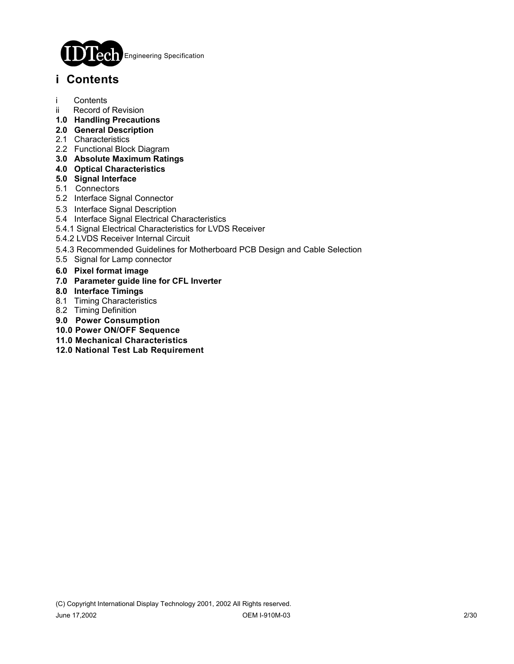

## **i Contents**

- i Contents
- ii Record of Revision
- **1.0 Handling Precautions**
- **2.0 General Description**
- 2.1 Characteristics
- 2.2 Functional Block Diagram
- **3.0 Absolute Maximum Ratings**
- **4.0 Optical Characteristics**
- **5.0 Signal Interface**
- 5.1 Connectors
- 5.2 Interface Signal Connector
- 5.3 Interface Signal Description
- 5.4 Interface Signal Electrical Characteristics
- 5.4.1 Signal Electrical Characteristics for LVDS Receiver
- 5.4.2 LVDS Receiver Internal Circuit
- 5.4.3 Recommended Guidelines for Motherboard PCB Design and Cable Selection
- 5.5 Signal for Lamp connector
- **6.0 Pixel format image**
- **7.0 Parameter guide line for CFL Inverter**
- **8.0 Interface Timings**
- 8.1 Timing Characteristics
- 8.2 Timing Definition
- **9.0 Power Consumption**
- **10.0 Power ON/OFF Sequence**
- **11.0 Mechanical Characteristics**
- **12.0 National Test Lab Requirement**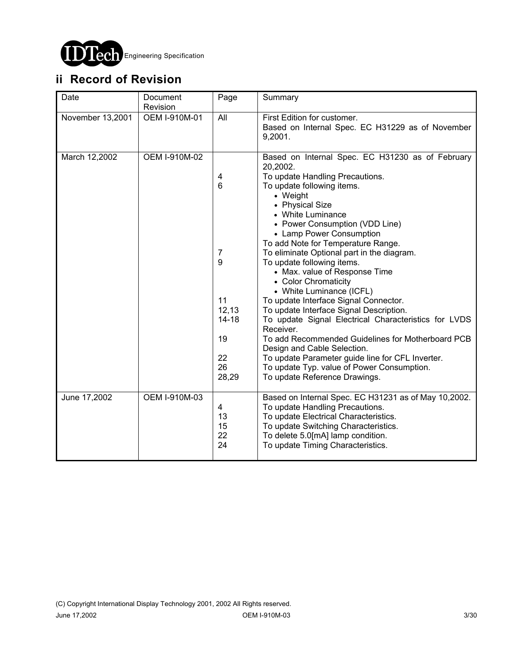

# **ii Record of Revision**

| Date             | Document<br>Revision | Page                                                                                  | Summary                                                                                                                                                                                                                                                                                                                                                                                                                                                                                                                                                                                                                                                                                                                                                                                                                                |
|------------------|----------------------|---------------------------------------------------------------------------------------|----------------------------------------------------------------------------------------------------------------------------------------------------------------------------------------------------------------------------------------------------------------------------------------------------------------------------------------------------------------------------------------------------------------------------------------------------------------------------------------------------------------------------------------------------------------------------------------------------------------------------------------------------------------------------------------------------------------------------------------------------------------------------------------------------------------------------------------|
| November 13,2001 | OEM I-910M-01        | All                                                                                   | First Edition for customer.<br>Based on Internal Spec. EC H31229 as of November<br>9,2001.                                                                                                                                                                                                                                                                                                                                                                                                                                                                                                                                                                                                                                                                                                                                             |
| March 12,2002    | OEM I-910M-02        | 4<br>$6\phantom{1}6$<br>7<br>9<br>11<br>12,13<br>$14 - 18$<br>19<br>22<br>26<br>28,29 | Based on Internal Spec. EC H31230 as of February<br>20,2002.<br>To update Handling Precautions.<br>To update following items.<br>• Weight<br>• Physical Size<br>• White Luminance<br>• Power Consumption (VDD Line)<br>• Lamp Power Consumption<br>To add Note for Temperature Range.<br>To eliminate Optional part in the diagram.<br>To update following items.<br>• Max. value of Response Time<br>• Color Chromaticity<br>• White Luminance (ICFL)<br>To update Interface Signal Connector.<br>To update Interface Signal Description.<br>To update Signal Electrical Characteristics for LVDS<br>Receiver.<br>To add Recommended Guidelines for Motherboard PCB<br>Design and Cable Selection.<br>To update Parameter guide line for CFL Inverter.<br>To update Typ. value of Power Consumption.<br>To update Reference Drawings. |
| June 17,2002     | OEM I-910M-03        | 4<br>13<br>15<br>22<br>24                                                             | Based on Internal Spec. EC H31231 as of May 10,2002.<br>To update Handling Precautions.<br>To update Electrical Characteristics.<br>To update Switching Characteristics.<br>To delete 5.0[mA] lamp condition.<br>To update Timing Characteristics.                                                                                                                                                                                                                                                                                                                                                                                                                                                                                                                                                                                     |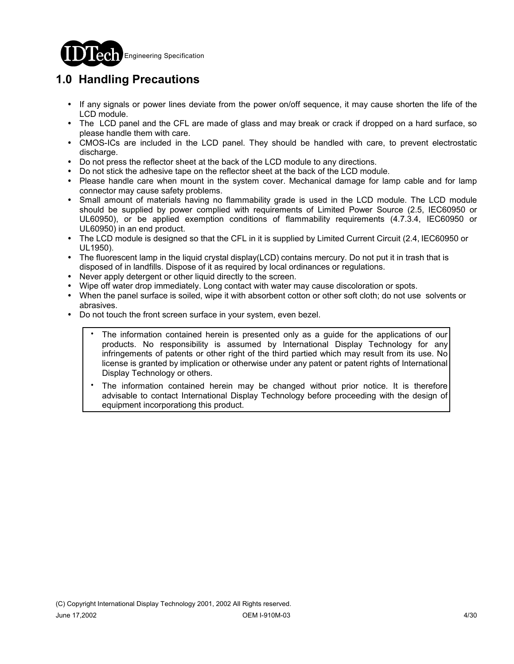

# **1.0 Handling Precautions**

- ! If any signals or power lines deviate from the power on/off sequence, it may cause shorten the life of the LCD module.
- ! The LCD panel and the CFL are made of glass and may break or crack if dropped on a hard surface, so please handle them with care.
- ! CMOS-ICs are included in the LCD panel. They should be handled with care, to prevent electrostatic discharge.
- ! Do not press the reflector sheet at the back of the LCD module to any directions.
- ! Do not stick the adhesive tape on the reflector sheet at the back of the LCD module.
- ! Please handle care when mount in the system cover. Mechanical damage for lamp cable and for lamp connector may cause safety problems.
- Small amount of materials having no flammability grade is used in the LCD module. The LCD module should be supplied by power complied with requirements of Limited Power Source (2.5, IEC60950 or UL60950), or be applied exemption conditions of flammability requirements (4.7.3.4, IEC60950 or UL60950) in an end product.
- ! The LCD module is designed so that the CFL in it is supplied by Limited Current Circuit (2.4, IEC60950 or UL1950).
- The fluorescent lamp in the liquid crystal display(LCD) contains mercury. Do not put it in trash that is disposed of in landfills. Dispose of it as required by local ordinances or regulations.
- ! Never apply detergent or other liquid directly to the screen.
- Wipe off water drop immediately. Long contact with water may cause discoloration or spots.
- When the panel surface is soiled, wipe it with absorbent cotton or other soft cloth; do not use solvents or abrasives.
- ! Do not touch the front screen surface in your system, even bezel.
	- The information contained herein is presented only as a guide for the applications of our products. No responsibility is assumed by International Display Technology for any infringements of patents or other right of the third partied which may result from its use. No license is granted by implication or otherwise under any patent or patent rights of International Display Technology or others. .
	- The information contained herein may be changed without prior notice. It is therefore advisable to contact International Display Technology before proceeding with the design of equipment incorporationg this product. .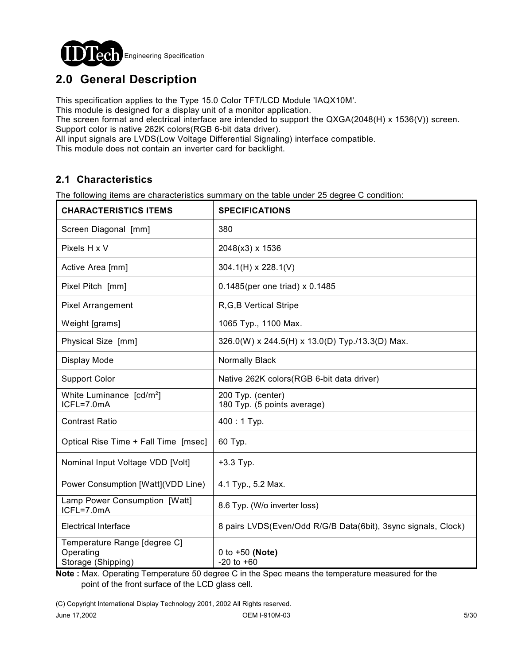

## **2.0 General Description**

This specification applies to the Type 15.0 Color TFT/LCD Module 'IAQX10M'.

This module is designed for a display unit of a monitor application.

The screen format and electrical interface are intended to support the QXGA(2048(H) x 1536(V)) screen. Support color is native 262K colors(RGB 6-bit data driver).

All input signals are LVDS(Low Voltage Differential Signaling) interface compatible.

This module does not contain an inverter card for backlight.

### **2.1 Characteristics**

The following items are characteristics summary on the table under 25 degree C condition:

| <b>CHARACTERISTICS ITEMS</b>                                    | <b>SPECIFICATIONS</b>                                         |
|-----------------------------------------------------------------|---------------------------------------------------------------|
| Screen Diagonal [mm]                                            | 380                                                           |
| Pixels H x V                                                    | 2048(x3) x 1536                                               |
| Active Area [mm]                                                | $304.1(H) \times 228.1(V)$                                    |
| Pixel Pitch [mm]                                                | 0.1485 (per one triad) x 0.1485                               |
| <b>Pixel Arrangement</b>                                        | R, G, B Vertical Stripe                                       |
| Weight [grams]                                                  | 1065 Typ., 1100 Max.                                          |
| Physical Size [mm]                                              | 326.0(W) x 244.5(H) x 13.0(D) Typ./13.3(D) Max.               |
| Display Mode                                                    | Normally Black                                                |
| <b>Support Color</b>                                            | Native 262K colors (RGB 6-bit data driver)                    |
| White Luminance [cd/m <sup>2</sup> ]<br>ICFL=7.0mA              | 200 Typ. (center)<br>180 Typ. (5 points average)              |
| <b>Contrast Ratio</b>                                           | 400:1 Typ.                                                    |
| Optical Rise Time + Fall Time [msec]                            | 60 Typ.                                                       |
| Nominal Input Voltage VDD [Volt]                                | $+3.3$ Typ.                                                   |
| Power Consumption [Watt](VDD Line)                              | 4.1 Typ., 5.2 Max.                                            |
| Lamp Power Consumption [Watt]<br>ICFL=7.0mA                     | 8.6 Typ. (W/o inverter loss)                                  |
| Electrical Interface                                            | 8 pairs LVDS(Even/Odd R/G/B Data(6bit), 3sync signals, Clock) |
| Temperature Range [degree C]<br>Operating<br>Storage (Shipping) | 0 to $+50$ (Note)<br>$-20$ to $+60$                           |

**Note :** Max. Operating Temperature 50 degree C in the Spec means the temperature measured for the point of the front surface of the LCD glass cell.

(C) Copyright International Display Technology 2001, 2002 All Rights reserved.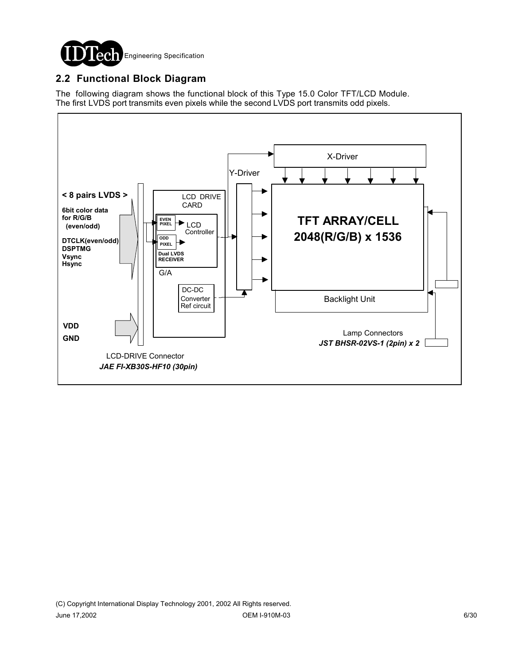

### **2.2 Functional Block Diagram**

The following diagram shows the functional block of this Type 15.0 Color TFT/LCD Module. The first LVDS port transmits even pixels while the second LVDS port transmits odd pixels.

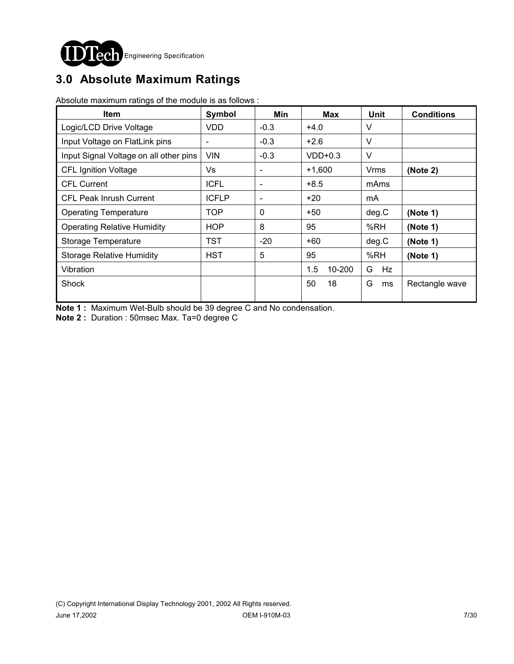

# **3.0 Absolute Maximum Ratings**

Absolute maximum ratings of the module is as follows :

| <b>Item</b>                            | Symbol       | Min                          | <b>Max</b>    | <b>Unit</b> | <b>Conditions</b> |
|----------------------------------------|--------------|------------------------------|---------------|-------------|-------------------|
| Logic/LCD Drive Voltage                | VDD          | $-0.3$                       | $+4.0$        | V           |                   |
| Input Voltage on FlatLink pins         |              | $-0.3$                       | $+2.6$        | V           |                   |
| Input Signal Voltage on all other pins | <b>VIN</b>   | $-0.3$                       | $VDD+0.3$     | V           |                   |
| <b>CFL Ignition Voltage</b>            | Vs           | $\overline{\phantom{a}}$     | $+1,600$      | <b>Vrms</b> | (Note 2)          |
| <b>CFL Current</b>                     | <b>ICFL</b>  | $\overline{\phantom{a}}$     | $+8.5$        | mAms        |                   |
| <b>CFL Peak Inrush Current</b>         | <b>ICFLP</b> | $\qquad \qquad \blacksquare$ | $+20$         | mA          |                   |
| <b>Operating Temperature</b>           | TOP          | $\Omega$                     | +50           | deg.C       | (Note 1)          |
| <b>Operating Relative Humidity</b>     | <b>HOP</b>   | 8                            | 95            | %RH         | (Note 1)          |
| Storage Temperature                    | TST          | $-20$                        | +60           | deg.C       | (Note 1)          |
| <b>Storage Relative Humidity</b>       | <b>HST</b>   | 5                            | 95            | %RH         | (Note 1)          |
| Vibration                              |              |                              | 1.5<br>10-200 | Hz<br>G     |                   |
| Shock                                  |              |                              | 50<br>18      | G<br>ms     | Rectangle wave    |

**Note 1 :** Maximum Wet-Bulb should be 39 degree C and No condensation.

**Note 2 :** Duration : 50msec Max. Ta=0 degree C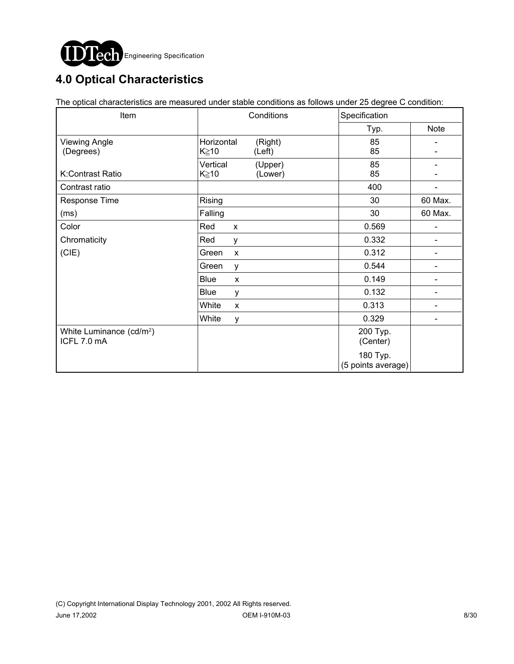

# **4.0 Optical Characteristics**

The optical characteristics are measured under stable conditions as follows under 25 degree C condition:

| Item                                                | Conditions                                     | Specification                  |             |  |
|-----------------------------------------------------|------------------------------------------------|--------------------------------|-------------|--|
|                                                     |                                                | Typ.                           | <b>Note</b> |  |
| <b>Viewing Angle</b><br>(Degrees)                   | Horizontal<br>(Right)<br>$K \geq 10$<br>(Left) | 85<br>85                       |             |  |
| K:Contrast Ratio                                    | Vertical<br>(Upper)<br>K≥10<br>(Lower)         | 85<br>85                       |             |  |
| Contrast ratio                                      |                                                | 400                            |             |  |
| Response Time                                       | Rising                                         | 30                             | 60 Max.     |  |
| (ms)                                                | Falling                                        | 30                             | 60 Max.     |  |
| Color                                               | Red<br>X                                       | 0.569                          |             |  |
| Chromaticity                                        | Red<br>у                                       | 0.332                          |             |  |
| (CIE)                                               | Green<br>X                                     | 0.312                          |             |  |
|                                                     | Green<br>у                                     | 0.544                          |             |  |
|                                                     | Blue<br>X                                      | 0.149                          |             |  |
|                                                     | Blue<br>y                                      | 0.132                          |             |  |
|                                                     | White<br>X                                     | 0.313                          |             |  |
|                                                     | White<br>у                                     | 0.329                          |             |  |
| White Luminance (cd/m <sup>2</sup> )<br>ICFL 7.0 mA |                                                | 200 Typ.<br>(Center)           |             |  |
|                                                     |                                                | 180 Typ.<br>(5 points average) |             |  |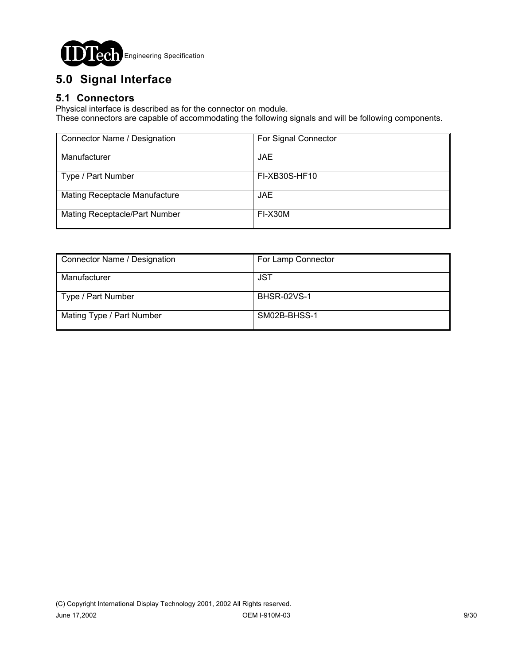

# **5.0 Signal Interface**

### **5.1 Connectors**

Physical interface is described as for the connector on module.

These connectors are capable of accommodating the following signals and will be following components.

| Connector Name / Designation  | For Signal Connector |
|-------------------------------|----------------------|
| Manufacturer                  | JAE.                 |
| Type / Part Number            | <b>FI-XB30S-HF10</b> |
| Mating Receptacle Manufacture | JAE.                 |
| Mating Receptacle/Part Number | FI-X30M              |

| Connector Name / Designation | For Lamp Connector |
|------------------------------|--------------------|
| Manufacturer                 | JST                |
| Type / Part Number           | <b>BHSR-02VS-1</b> |
| Mating Type / Part Number    | SM02B-BHSS-1       |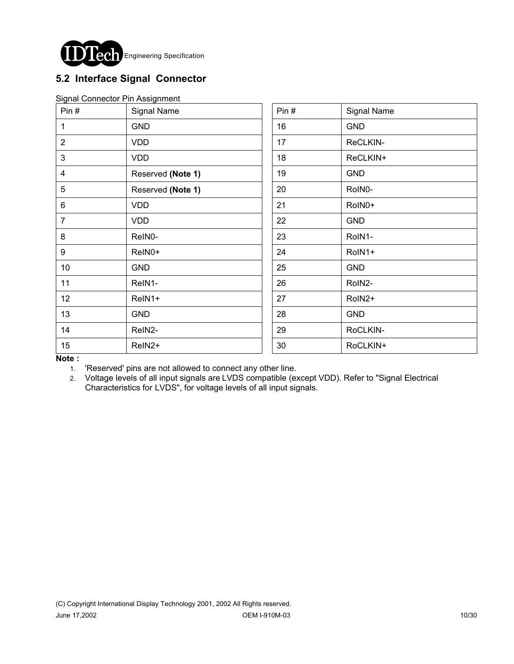

### **5.2 Interface Signal Connector**

|  | Signal Connector Pin Assignment |
|--|---------------------------------|
|  |                                 |

| Pin#           | Signal Name       | Pin# | Signal Name |
|----------------|-------------------|------|-------------|
| 1              | <b>GND</b>        | 16   | <b>GND</b>  |
| $\overline{2}$ | <b>VDD</b>        | 17   | ReCLKIN-    |
| 3              | <b>VDD</b>        | 18   | ReCLKIN+    |
| 4              | Reserved (Note 1) | 19   | <b>GND</b>  |
| $\overline{5}$ | Reserved (Note 1) | 20   | RoIN0-      |
| $6\phantom{1}$ | <b>VDD</b>        | 21   | RoIN0+      |
| $\overline{7}$ | <b>VDD</b>        | 22   | <b>GND</b>  |
| 8              | ReIN0-            | 23   | RoIN1-      |
| 9              | ReIN0+            | 24   | RoIN1+      |
| 10             | <b>GND</b>        | 25   | <b>GND</b>  |
| 11             | ReIN1-            | 26   | RoIN2-      |
| 12             | ReIN1+            | 27   | RoIN2+      |
| 13             | <b>GND</b>        | 28   | <b>GND</b>  |
| 14             | ReIN2-            | 29   | RoCLKIN-    |
| 15             | ReIN2+            | 30   | RoCLKIN+    |

**Note :**

1. 'Reserved' pins are not allowed to connect any other line.

2. Voltage levels of all input signals are LVDS compatible (except VDD). Refer to "Signal Electrical Characteristics for LVDS", for voltage levels of all input signals.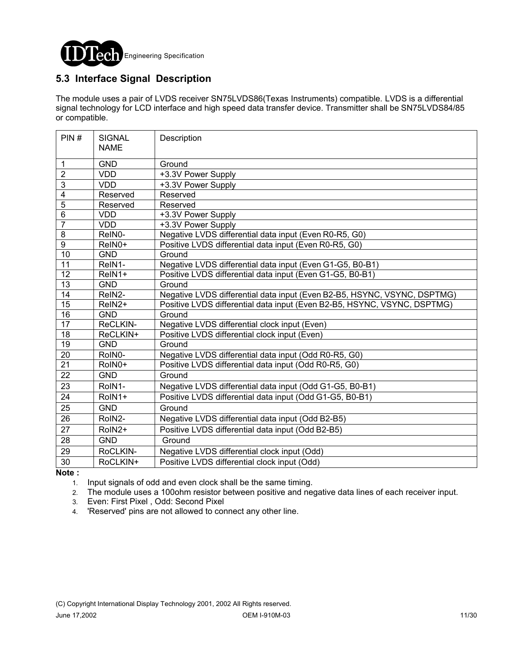

### **5.3 Interface Signal Description**

The module uses a pair of LVDS receiver SN75LVDS86(Texas Instruments) compatible. LVDS is a differential signal technology for LCD interface and high speed data transfer device. Transmitter shall be SN75LVDS84/85 or compatible.

| PIN#            | <b>SIGNAL</b><br><b>NAME</b> | Description                                                              |
|-----------------|------------------------------|--------------------------------------------------------------------------|
| 1               | <b>GND</b>                   | Ground                                                                   |
| $\overline{2}$  | <b>VDD</b>                   | +3.3V Power Supply                                                       |
| $\overline{3}$  | <b>VDD</b>                   | +3.3V Power Supply                                                       |
| 4               | Reserved                     | Reserved                                                                 |
| $\overline{5}$  | Reserved                     | Reserved                                                                 |
| $\overline{6}$  | <b>VDD</b>                   | +3.3V Power Supply                                                       |
| $\overline{7}$  | <b>VDD</b>                   | +3.3V Power Supply                                                       |
| 8               | ReIN0-                       | Negative LVDS differential data input (Even R0-R5, G0)                   |
| $\overline{9}$  | ReIN0+                       | Positive LVDS differential data input (Even R0-R5, G0)                   |
| $\overline{10}$ | <b>GND</b>                   | Ground                                                                   |
| 11              | ReIN1-                       | Negative LVDS differential data input (Even G1-G5, B0-B1)                |
| 12              | ReIN1+                       | Positive LVDS differential data input (Even G1-G5, B0-B1)                |
| $\overline{13}$ | <b>GND</b>                   | Ground                                                                   |
| $\overline{14}$ | ReIN2-                       | Negative LVDS differential data input (Even B2-B5, HSYNC, VSYNC, DSPTMG) |
| $\overline{15}$ | ReIN2+                       | Positive LVDS differential data input (Even B2-B5, HSYNC, VSYNC, DSPTMG) |
| 16              | <b>GND</b>                   | Ground                                                                   |
| $\overline{17}$ | ReCLKIN-                     | Negative LVDS differential clock input (Even)                            |
| 18              | ReCLKIN+                     | Positive LVDS differential clock input (Even)                            |
| 19              | <b>GND</b>                   | Ground                                                                   |
| $\overline{20}$ | RoIN0-                       | Negative LVDS differential data input (Odd R0-R5, G0)                    |
| 21              | RoIN0+                       | Positive LVDS differential data input (Odd R0-R5, G0)                    |
| 22              | <b>GND</b>                   | Ground                                                                   |
| 23              | RoIN1-                       | Negative LVDS differential data input (Odd G1-G5, B0-B1)                 |
| 24              | RoIN1+                       | Positive LVDS differential data input (Odd G1-G5, B0-B1)                 |
| $\overline{25}$ | <b>GND</b>                   | Ground                                                                   |
| 26              | RoIN2-                       | Negative LVDS differential data input (Odd B2-B5)                        |
| 27              | RoIN2+                       | Positive LVDS differential data input (Odd B2-B5)                        |
| 28              | <b>GND</b>                   | Ground                                                                   |
| 29              | RoCLKIN-                     | Negative LVDS differential clock input (Odd)                             |
| 30              | RoCLKIN+                     | Positive LVDS differential clock input (Odd)                             |

**Note :** 

1. Input signals of odd and even clock shall be the same timing.

2. The module uses a 100ohm resistor between positive and negative data lines of each receiver input.

3. Even: First Pixel , Odd: Second Pixel

4. 'Reserved' pins are not allowed to connect any other line.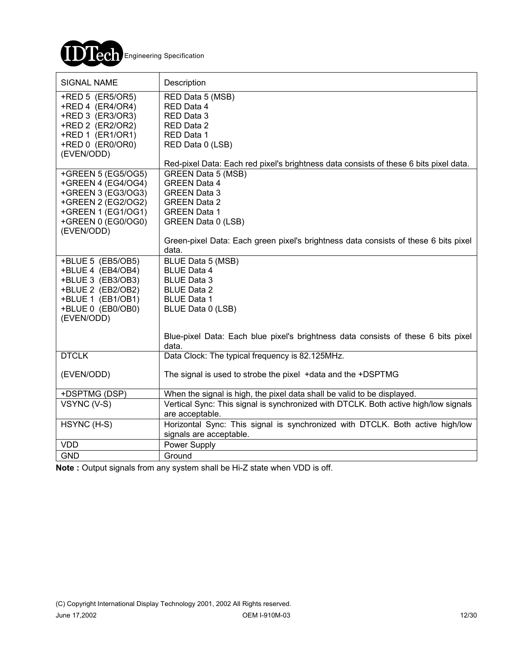

| SIGNAL NAME                                                                                                                              | Description                                                                                                                    |
|------------------------------------------------------------------------------------------------------------------------------------------|--------------------------------------------------------------------------------------------------------------------------------|
| +RED 5 (ER5/OR5)<br>+RED 4 (ER4/OR4)<br>+RED 3 (ER3/OR3)<br>+RED 2 (ER2/OR2)<br>+RED 1 (ER1/OR1)<br>+RED 0 (ER0/OR0)<br>(EVEN/ODD)       | RED Data 5 (MSB)<br>RED Data 4<br>RED Data 3<br>RED Data 2<br>RED Data 1<br>RED Data 0 (LSB)                                   |
| +GREEN 5 (EG5/OG5)                                                                                                                       | Red-pixel Data: Each red pixel's brightness data consists of these 6 bits pixel data.<br>GREEN Data 5 (MSB)                    |
| +GREEN 4 (EG4/OG4)<br>+GREEN 3 (EG3/OG3)                                                                                                 | <b>GREEN Data 4</b><br><b>GREEN Data 3</b>                                                                                     |
| +GREEN 2 (EG2/OG2)                                                                                                                       | <b>GREEN Data 2</b>                                                                                                            |
| +GREEN 1 (EG1/OG1)                                                                                                                       | <b>GREEN Data 1</b>                                                                                                            |
| +GREEN 0 (EG0/OG0)<br>(EVEN/ODD)                                                                                                         | GREEN Data 0 (LSB)                                                                                                             |
|                                                                                                                                          | Green-pixel Data: Each green pixel's brightness data consists of these 6 bits pixel<br>data.                                   |
| +BLUE 5 (EB5/OB5)<br>+BLUE 4 (EB4/OB4)<br>+BLUE 3 (EB3/OB3)<br>+BLUE 2 (EB2/OB2)<br>+BLUE 1 (EB1/OB1)<br>+BLUE 0 (EB0/OB0)<br>(EVEN/ODD) | BLUE Data 5 (MSB)<br><b>BLUE Data 4</b><br><b>BLUE Data 3</b><br><b>BLUE Data 2</b><br><b>BLUE Data 1</b><br>BLUE Data 0 (LSB) |
|                                                                                                                                          | Blue-pixel Data: Each blue pixel's brightness data consists of these 6 bits pixel<br>data.                                     |
| <b>DTCLK</b>                                                                                                                             | Data Clock: The typical frequency is 82.125MHz.                                                                                |
| (EVEN/ODD)                                                                                                                               | The signal is used to strobe the pixel +data and the +DSPTMG                                                                   |
| +DSPTMG (DSP)                                                                                                                            | When the signal is high, the pixel data shall be valid to be displayed.                                                        |
| VSYNC (V-S)                                                                                                                              | Vertical Sync: This signal is synchronized with DTCLK. Both active high/low signals<br>are acceptable.                         |
| HSYNC (H-S)                                                                                                                              | Horizontal Sync: This signal is synchronized with DTCLK. Both active high/low<br>signals are acceptable.                       |
| <b>VDD</b>                                                                                                                               | Power Supply                                                                                                                   |
| <b>GND</b>                                                                                                                               | Ground                                                                                                                         |

**Note :** Output signals from any system shall be Hi-Z state when VDD is off.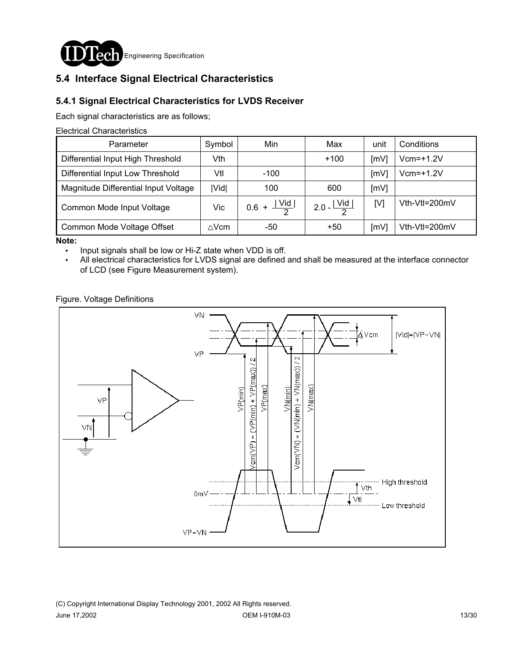

### **5.4 Interface Signal Electrical Characteristics**

### **5.4.1 Signal Electrical Characteristics for LVDS Receiver**

Each signal characteristics are as follows;

Electrical Characteristics

| Parameter                            | Symbol       | Min                     | Max                     | unit | Conditions    |
|--------------------------------------|--------------|-------------------------|-------------------------|------|---------------|
| Differential Input High Threshold    | Vth          |                         | $+100$                  | [mV] | $Vcm=+1.2V$   |
| Differential Input Low Threshold     | Vtl          | $-100$                  |                         | [mV] | $Vcm=+1.2V$   |
| Magnitude Differential Input Voltage | Vid          | 100                     | 600                     | [mV] |               |
| Common Mode Input Voltage            | Vic          | $0.6 + \frac{ Vid }{2}$ | 2.0 - $\frac{ Vid }{2}$ | [V]  | Vth-Vtl=200mV |
| Common Mode Voltage Offset           | $\wedge$ Vcm | -50                     | $+50$                   | [mV] | Vth-Vtl=200mV |

**Note:** 

! Input signals shall be low or Hi-Z state when VDD is off.

. All electrical characteristics for LVDS signal are defined and shall be measured at the interface connector of LCD (see Figure Measurement system).

Figure. Voltage Definitions

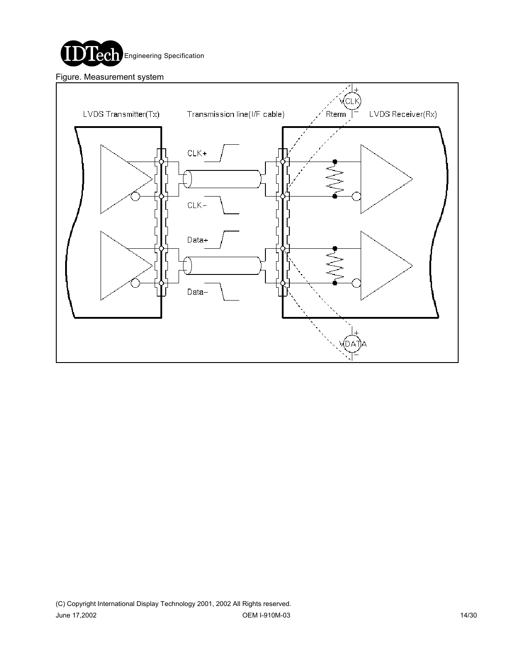

Figure. Measurement system

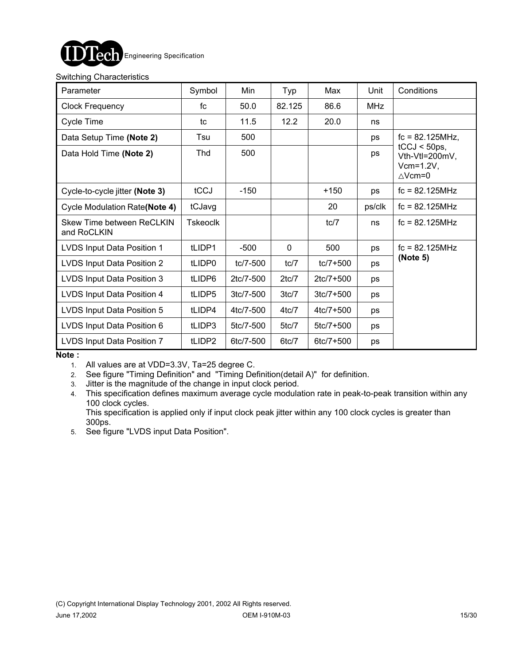

#### Switching Characteristics

| Parameter                                | Symbol          | Min         | Typ         | Max           | Unit       | Conditions                                                         |
|------------------------------------------|-----------------|-------------|-------------|---------------|------------|--------------------------------------------------------------------|
| <b>Clock Frequency</b>                   | fc              | 50.0        | 82.125      | 86.6          | <b>MHz</b> |                                                                    |
| Cycle Time                               | tc              | 11.5        | 12.2        | 20.0          | ns         |                                                                    |
| Data Setup Time (Note 2)                 | Tsu             | 500         |             |               | ps         | $fc = 82.125 MHz$ ,                                                |
| Data Hold Time (Note 2)                  | Thd             | 500         |             |               | ps         | $tCCJ < 50ps$ ,<br>Vth-Vtl=200mV,<br>$Vcm=1.2V,$<br>$\wedge$ Vcm=0 |
| Cycle-to-cycle jitter (Note 3)           | tCCJ            | $-150$      |             | $+150$        | ps         | $fc = 82.125 MHz$                                                  |
| Cycle Modulation Rate(Note 4)            | tCJavg          |             |             | 20            | ps/clk     | $fc = 82.125 MHz$                                                  |
| Skew Time between ReCLKIN<br>and RoCLKIN | <b>Tskeoclk</b> |             |             | tc/7          | ns         | $fc = 82.125 MHz$                                                  |
| LVDS Input Data Position 1               | tLIDP1          | $-500$      | $\mathbf 0$ | 500           | ps         | $fc = 82.125 MHz$                                                  |
| LVDS Input Data Position 2               | tLIDP0          | tc/7-500    | tc/7        | $tc/7 + 500$  | ps         | (Note 5)                                                           |
| LVDS Input Data Position 3               | tLIDP6          | 2tc/7-500   | 2tc/7       | $2tc/7 + 500$ | ps         |                                                                    |
| LVDS Input Data Position 4               | tLIDP5          | $3tc/7-500$ | 3tc/7       | $3tc/7 + 500$ | ps         |                                                                    |
| LVDS Input Data Position 5               | tLIDP4          | 4tc/7-500   | $4$ tc $/7$ | $4tc/7 + 500$ | ps         |                                                                    |
| LVDS Input Data Position 6               | tLIDP3          | 5tc/7-500   | 5tc/7       | $5tc/7 + 500$ | ps         |                                                                    |
| LVDS Input Data Position 7               | tLIDP2          | 6tc/7-500   | 6tc/7       | 6tc/7+500     | ps         |                                                                    |

**Note :** 

1. All values are at VDD=3.3V, Ta=25 degree C.

2. See figure "Timing Definition" and "Timing Definition(detail A)" for definition.

3. Jitter is the magnitude of the change in input clock period.

4. This specification defines maximum average cycle modulation rate in peak-to-peak transition within any 100 clock cycles.

This specification is applied only if input clock peak jitter within any 100 clock cycles is greater than 300ps.

5. See figure "LVDS input Data Position".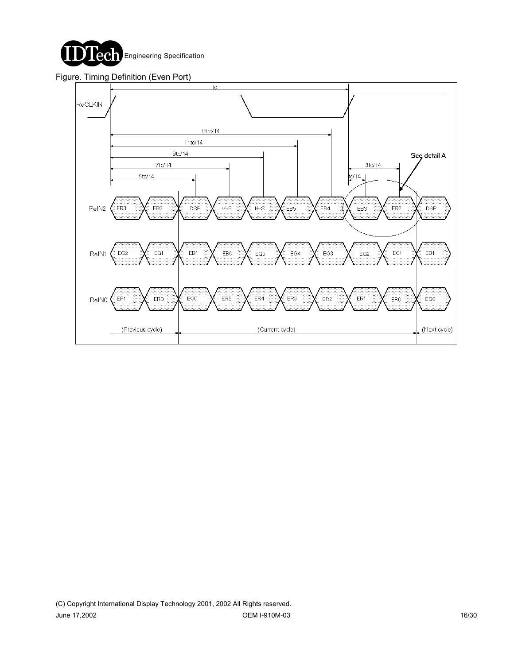

#### Figure. Timing Definition (Even Port)

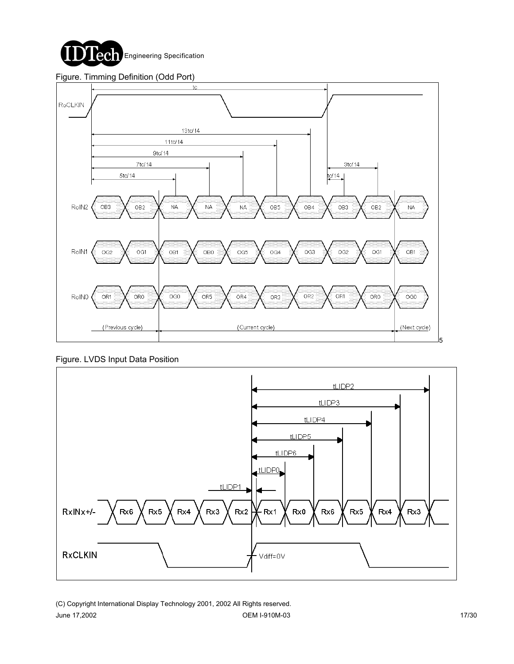

#### Figure. Timming Definition (Odd Port)



Figure. LVDS Input Data Position

![](_page_16_Figure_4.jpeg)

(C) Copyright International Display Technology 2001, 2002 All Rights reserved. June 17,2002 OEM I-910M-03 17/30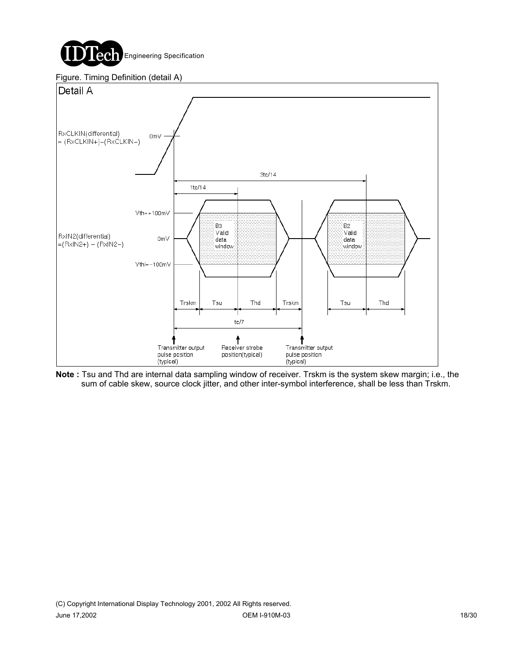![](_page_17_Picture_0.jpeg)

![](_page_17_Figure_1.jpeg)

![](_page_17_Figure_2.jpeg)

**Note :** Tsu and Thd are internal data sampling window of receiver. Trskm is the system skew margin; i.e., the sum of cable skew, source clock jitter, and other inter-symbol interference, shall be less than Trskm.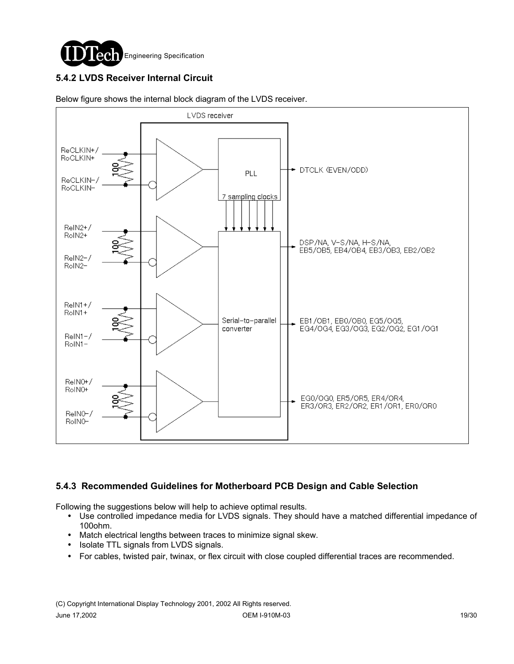![](_page_18_Picture_0.jpeg)

### **5.4.2 LVDS Receiver Internal Circuit**

![](_page_18_Figure_2.jpeg)

Below figure shows the internal block diagram of the LVDS receiver.

#### **5.4.3 Recommended Guidelines for Motherboard PCB Design and Cable Selection**

Following the suggestions below will help to achieve optimal results.

- ! Use controlled impedance media for LVDS signals. They should have a matched differential impedance of 100ohm.
- ! Match electrical lengths between traces to minimize signal skew.
- Isolate TTL signals from LVDS signals.
- ! For cables, twisted pair, twinax, or flex circuit with close coupled differential traces are recommended.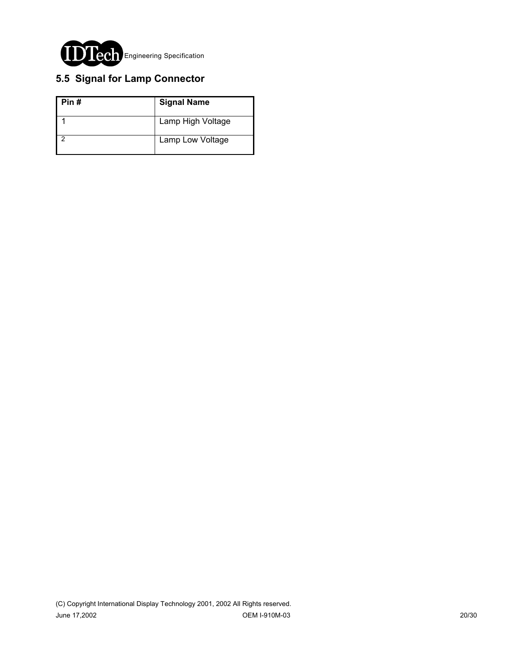![](_page_19_Picture_0.jpeg)

## **5.5 Signal for Lamp Connector**

| Pin# | <b>Signal Name</b> |
|------|--------------------|
|      | Lamp High Voltage  |
|      | Lamp Low Voltage   |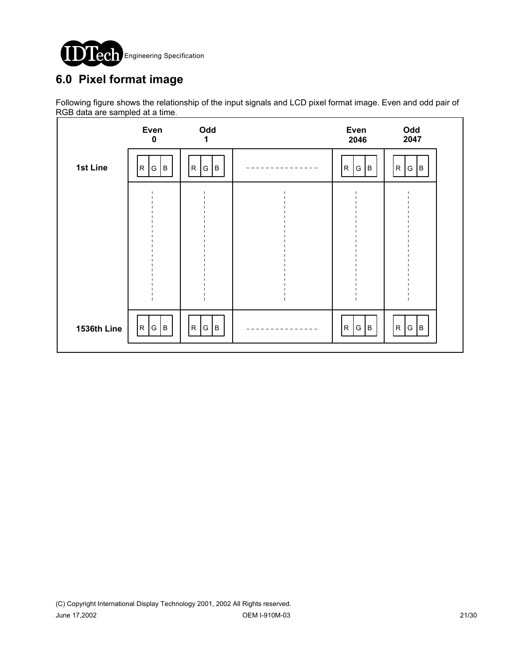![](_page_20_Picture_0.jpeg)

# **6.0 Pixel format image**

Following figure shows the relationship of the input signals and LCD pixel format image. Even and odd pair of RGB data are sampled at a time.

|             | Even<br>$\mathbf 0$   | Odd<br>1                           |      | Even<br>2046         | Odd<br>2047           |  |
|-------------|-----------------------|------------------------------------|------|----------------------|-----------------------|--|
| 1st Line    | G<br>B<br>$\mathsf R$ | $\mathsf{R}$<br>${\mathsf G}$<br>B |      | ${\sf R}$<br>B<br>G  | G   B<br>$\mathsf{R}$ |  |
|             |                       |                                    |      |                      |                       |  |
|             |                       |                                    |      |                      |                       |  |
|             |                       |                                    |      |                      |                       |  |
|             |                       |                                    |      |                      |                       |  |
| 1536th Line | R <br>B<br>G          | R<br>G<br>Iв                       | $ -$ | G $ B $<br>${\sf R}$ | R G B                 |  |
|             |                       |                                    |      |                      |                       |  |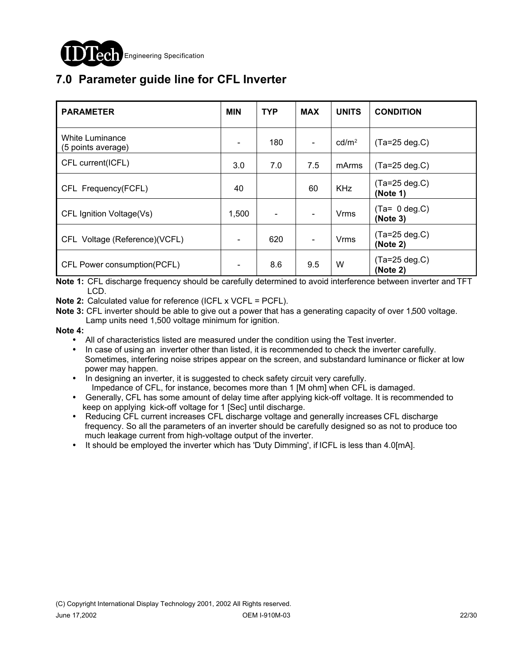![](_page_21_Picture_0.jpeg)

# **7.0 Parameter guide line for CFL Inverter**

| <b>PARAMETER</b>                      | <b>MIN</b>                   | <b>TYP</b> | <b>MAX</b> | <b>UNITS</b>      | <b>CONDITION</b>             |
|---------------------------------------|------------------------------|------------|------------|-------------------|------------------------------|
| White Luminance<br>(5 points average) | $\qquad \qquad \blacksquare$ | 180        |            | cd/m <sup>2</sup> | $(Ta=25 \text{ deg}.C)$      |
| CFL current(ICFL)                     | 3.0                          | 7.0        | 7.5        | mArms             | $(Ta=25 \deg.C)$             |
| CFL Frequency(FCFL)                   | 40                           |            | 60         | <b>KHz</b>        | $(Ta=25 \deg.C)$<br>(Note 1) |
| CFL Ignition Voltage(Vs)              | 1,500                        |            |            | <b>Vrms</b>       | $(Ta= 0 deg.C)$<br>(Note 3)  |
| CFL Voltage (Reference)(VCFL)         | $\qquad \qquad \blacksquare$ | 620        |            | <b>Vrms</b>       | $(Ta=25 \deg.C)$<br>(Note 2) |
| CFL Power consumption(PCFL)           |                              | 8.6        | 9.5        | W                 | $(Ta=25 \deg.C)$<br>(Note 2) |

**Note 1:** CFL discharge frequency should be carefully determined to avoid interference between inverter and TFT LCD.

**Note 2:** Calculated value for reference (ICFL x VCFL = PCFL).

**Note 3:** CFL inverter should be able to give out a power that has a generating capacity of over 1,500 voltage. Lamp units need 1,500 voltage minimum for ignition.

**Note 4:**

- ! All of characteristics listed are measured under the condition using the Test inverter.
- In case of using an inverter other than listed, it is recommended to check the inverter carefully. Sometimes, interfering noise stripes appear on the screen, and substandard luminance or flicker at low power may happen.
- ! In designing an inverter, it is suggested to check safety circuit very carefully. Impedance of CFL, for instance, becomes more than 1 [M ohm] when CFL is damaged.
- Generally, CFL has some amount of delay time after applying kick-off voltage. It is recommended to keep on applying kick-off voltage for 1 [Sec] until discharge.
- ! Reducing CFL current increases CFL discharge voltage and generally increases CFL discharge frequency. So all the parameters of an inverter should be carefully designed so as not to produce too much leakage current from high-voltage output of the inverter.
- ! It should be employed the inverter which has 'Duty Dimming', if ICFL is less than 4.0[mA].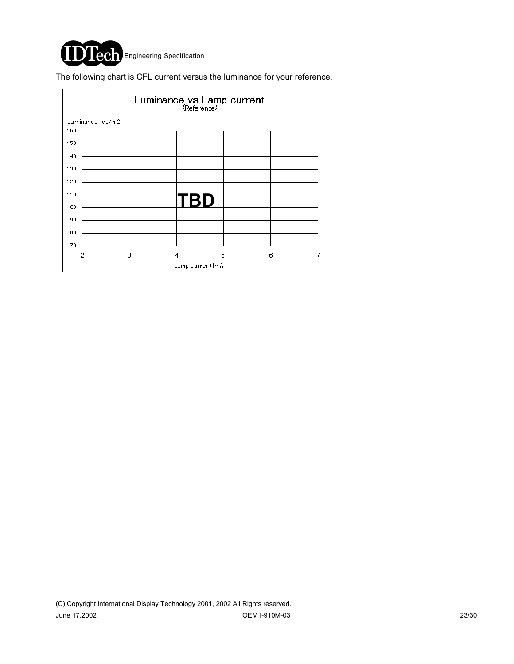![](_page_22_Picture_0.jpeg)

The following chart is CFL current versus the luminance for your reference.

|     | Luminance vs Lamp current |   |     |   |        |  |  |  |
|-----|---------------------------|---|-----|---|--------|--|--|--|
|     | Luminance [cd/m2]         |   |     |   |        |  |  |  |
| 160 |                           |   |     |   |        |  |  |  |
| 150 |                           |   |     |   |        |  |  |  |
| 140 |                           |   |     |   |        |  |  |  |
| 130 |                           |   |     |   |        |  |  |  |
| 120 |                           |   |     |   |        |  |  |  |
| 110 |                           |   |     |   |        |  |  |  |
| 100 |                           |   | TBD |   |        |  |  |  |
| 90  |                           |   |     |   |        |  |  |  |
| 80  |                           |   |     |   |        |  |  |  |
| 70  |                           |   |     |   |        |  |  |  |
|     | 2                         | 3 | 4   | 5 | 6<br>7 |  |  |  |
|     | Lamp current[mA]          |   |     |   |        |  |  |  |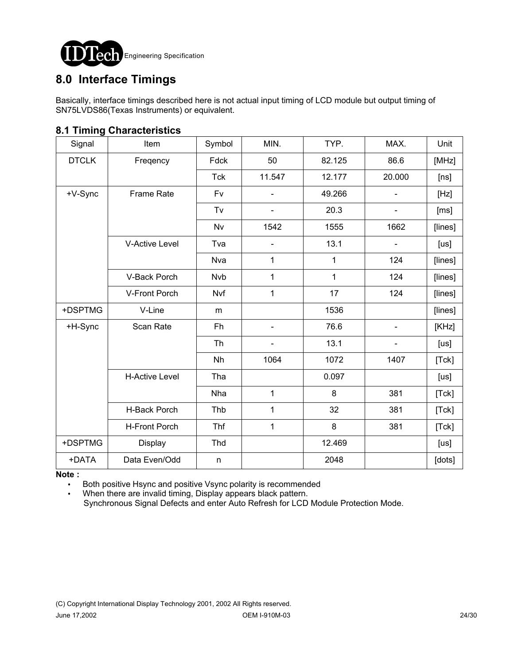![](_page_23_Picture_0.jpeg)

## **8.0 Interface Timings**

Basically, interface timings described here is not actual input timing of LCD module but output timing of SN75LVDS86(Texas Instruments) or equivalent.

| ັ            |                       |            |        |        |                          |         |
|--------------|-----------------------|------------|--------|--------|--------------------------|---------|
| Signal       | Item                  | Symbol     | MIN.   | TYP.   | MAX.                     | Unit    |
| <b>DTCLK</b> | Freqency              | Fdck       | 50     | 82.125 | 86.6                     | [MHz]   |
|              |                       | <b>Tck</b> | 11.547 | 12.177 | 20.000                   | [ns]    |
| +V-Sync      | Frame Rate            | Fv         |        | 49.266 |                          | [Hz]    |
|              |                       | Tv         |        | 20.3   |                          | [ms]    |
|              |                       | Nv         | 1542   | 1555   | 1662                     | [lines] |
|              | V-Active Level        | Tva        |        | 13.1   | $\overline{\phantom{0}}$ | [us]    |
|              |                       | <b>Nva</b> | 1      | 1      | 124                      | [lines] |
|              | V-Back Porch          | <b>Nvb</b> | 1      | 1      | 124                      | [lines] |
|              | V-Front Porch         | Nvf        | 1      | 17     | 124                      | [lines] |
| +DSPTMG      | V-Line                | m          |        | 1536   |                          | [lines] |
| +H-Sync      | Scan Rate             | Fh         |        | 76.6   |                          | [KHz]   |
|              |                       | Th         |        | 13.1   |                          | [us]    |
|              |                       | Nh         | 1064   | 1072   | 1407                     | [Tck]   |
|              | <b>H-Active Level</b> | Tha        |        | 0.097  |                          | [us]    |
|              |                       | Nha        | 1      | 8      | 381                      | [Tck]   |
|              | H-Back Porch          | Thb        | 1      | 32     | 381                      | [Tck]   |
|              | H-Front Porch         | Thf        | 1      | 8      | 381                      | [Tck]   |
| +DSPTMG      | Display               | Thd        |        | 12.469 |                          | [us]    |
| +DATA        | Data Even/Odd         | n          |        | 2048   |                          | [dots]  |

### **8.1 Timing Characteristics**

**Note :**

. Both positive Hsync and positive Vsync polarity is recommended

. When there are invalid timing, Display appears black pattern. Synchronous Signal Defects and enter Auto Refresh for LCD Module Protection Mode.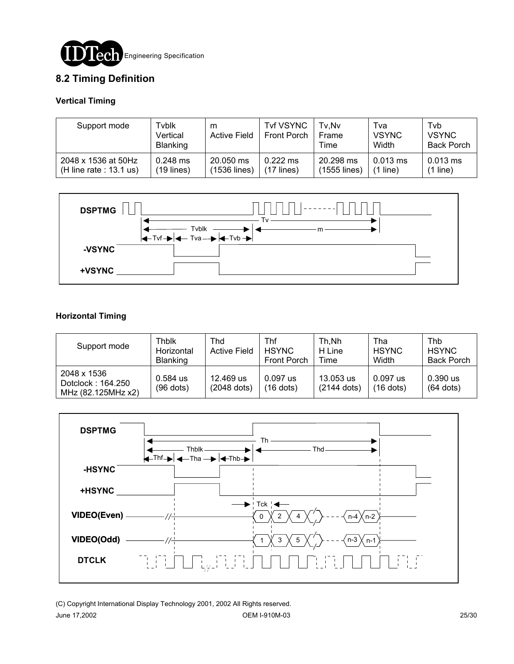![](_page_24_Picture_0.jpeg)

### **8.2 Timing Definition**

#### **Vertical Timing**

| Support mode              | Tvblk<br>Vertical<br><b>Blanking</b> | m<br><b>Active Field</b> | <b>Tvf VSYNC</b><br>Front Porch | Tv.Nv<br><b>Frame</b><br>Time | Tva<br><b>VSYNC</b><br>Width | Tyb<br><b>VSYNC</b><br><b>Back Porch</b> |
|---------------------------|--------------------------------------|--------------------------|---------------------------------|-------------------------------|------------------------------|------------------------------------------|
| 2048 x 1536 at 50Hz       | $0.248$ ms                           | 20.050 ms                | $0.222$ ms                      | 20.298 ms                     | $0.013$ ms                   | $0.013$ ms                               |
| (H line rate : $13.1$ us) | $(19$ lines)                         | (1536 lines)             | $(17$ lines)                    | (1555 lines)                  | $(1$ line)                   | (1 line)                                 |

![](_page_24_Figure_4.jpeg)

#### **Horizontal Timing**

| Support mode                                           | Thblk<br>Horizontal<br><b>Blanking</b> | Thd<br><b>Active Field</b> | Thf<br><b>HSYNC</b><br><b>Front Porch</b> | Th, Nh<br>H Line<br>Time   | Tha<br><b>HSYNC</b><br>Width | <b>Thb</b><br><b>HSYNC</b><br><b>Back Porch</b> |
|--------------------------------------------------------|----------------------------------------|----------------------------|-------------------------------------------|----------------------------|------------------------------|-------------------------------------------------|
| 2048 x 1536<br>Dotclock: 164.250<br>MHz (82.125MHz x2) | $0.584$ us<br>$(96$ dots)              | 12.469 us<br>(2048 dots)   | $0.097$ us<br>$(16$ dots)                 | 13.053 us<br>$(2144$ dots) | $0.097$ us<br>$(16$ dots)    | $0.390$ us<br>$(64$ dots)                       |

![](_page_24_Figure_7.jpeg)

(C) Copyright International Display Technology 2001, 2002 All Rights reserved. June 17,2002 OEM I-910M-03 25/30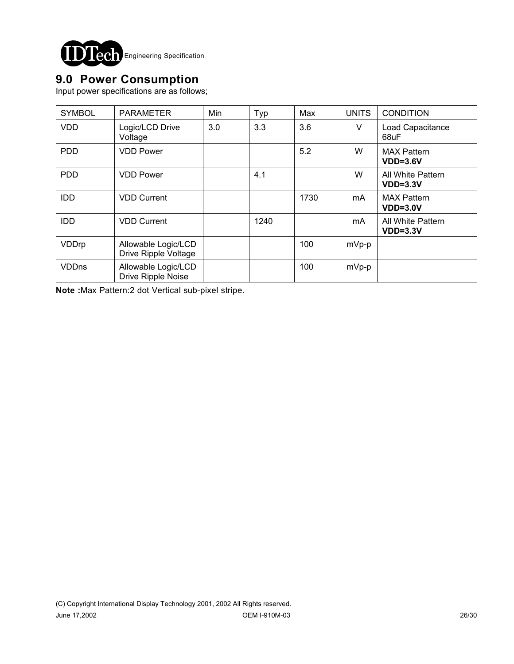![](_page_25_Picture_0.jpeg)

## **9.0 Power Consumption**

Input power specifications are as follows;

| <b>SYMBOL</b> | <b>PARAMETER</b>                                 | Min | Typ  | Max  | <b>UNITS</b> | <b>CONDITION</b>                 |
|---------------|--------------------------------------------------|-----|------|------|--------------|----------------------------------|
| <b>VDD</b>    | Logic/LCD Drive<br>Voltage                       | 3.0 | 3.3  | 3.6  | V            | Load Capacitance<br>68uF         |
| <b>PDD</b>    | <b>VDD Power</b>                                 |     |      | 5.2  | W            | <b>MAX Pattern</b><br>$VDD=3.6V$ |
| <b>PDD</b>    | <b>VDD Power</b>                                 |     | 4.1  |      | W            | All White Pattern<br>$VDD=3.3V$  |
| <b>IDD</b>    | <b>VDD Current</b>                               |     |      | 1730 | mA           | <b>MAX Pattern</b><br>$VDD=3.0V$ |
| <b>IDD</b>    | <b>VDD Current</b>                               |     | 1240 |      | mA           | All White Pattern<br>$VDD=3.3V$  |
| VDDrp         | Allowable Logic/LCD<br>Drive Ripple Voltage      |     |      | 100  | $mVp-p$      |                                  |
| <b>VDDns</b>  | Allowable Logic/LCD<br><b>Drive Ripple Noise</b> |     |      | 100  | $mVp-p$      |                                  |

**Note :**Max Pattern:2 dot Vertical sub-pixel stripe.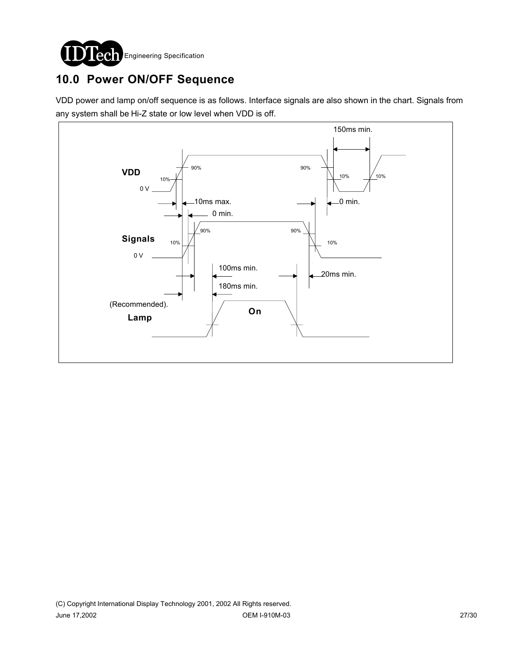![](_page_26_Picture_0.jpeg)

# **10.0 Power ON/OFF Sequence**

VDD power and lamp on/off sequence is as follows. Interface signals are also shown in the chart. Signals from any system shall be Hi-Z state or low level when VDD is off.

![](_page_26_Figure_3.jpeg)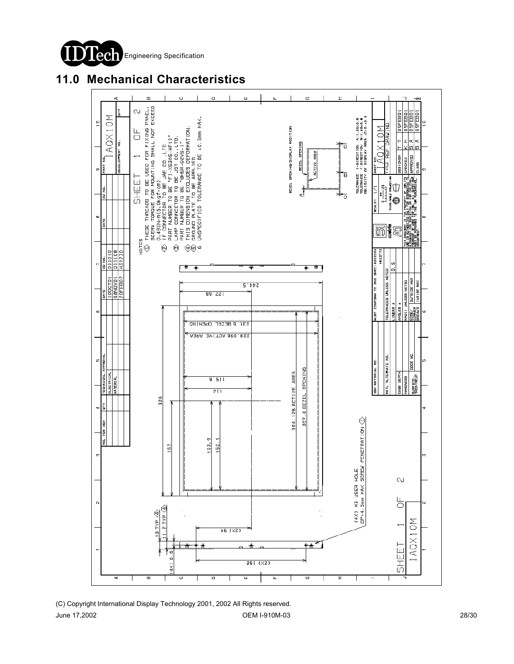![](_page_27_Picture_0.jpeg)

## **11.0 Mechanical Characteristics**

![](_page_27_Figure_2.jpeg)

(C) Copyright International Display Technology 2001, 2002 All Rights reserved. June 17,2002 OEM I-910M-03 28/30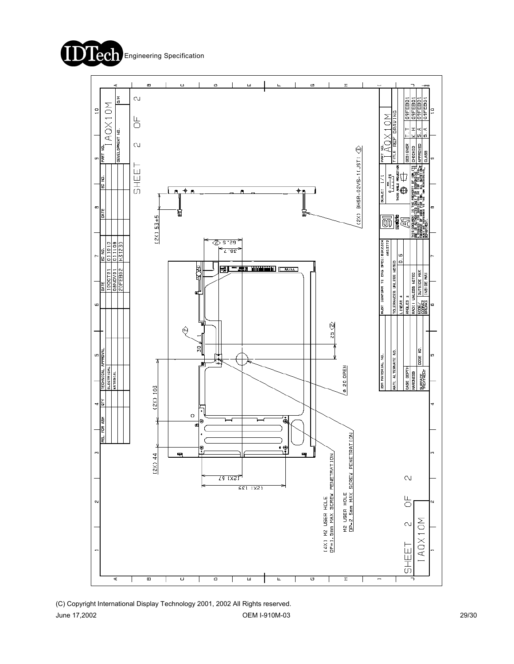![](_page_28_Picture_0.jpeg)

![](_page_28_Figure_1.jpeg)